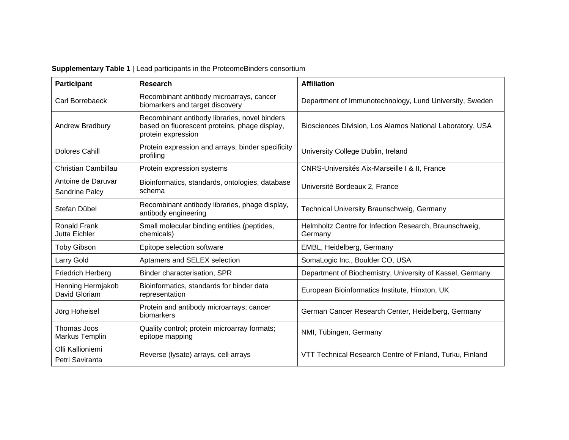| <b>Participant</b>                   | Research                                                                                                             | <b>Affiliation</b>                                                |
|--------------------------------------|----------------------------------------------------------------------------------------------------------------------|-------------------------------------------------------------------|
| Carl Borrebaeck                      | Recombinant antibody microarrays, cancer<br>biomarkers and target discovery                                          | Department of Immunotechnology, Lund University, Sweden           |
| Andrew Bradbury                      | Recombinant antibody libraries, novel binders<br>based on fluorescent proteins, phage display,<br>protein expression | Biosciences Division, Los Alamos National Laboratory, USA         |
| Dolores Cahill                       | Protein expression and arrays; binder specificity<br>profiling                                                       | University College Dublin, Ireland                                |
| Christian Cambillau                  | Protein expression systems                                                                                           | CNRS-Universités Aix-Marseille I & II, France                     |
| Antoine de Daruvar<br>Sandrine Palcy | Bioinformatics, standards, ontologies, database<br>schema                                                            | Université Bordeaux 2, France                                     |
| Stefan Dübel                         | Recombinant antibody libraries, phage display,<br>antibody engineering                                               | Technical University Braunschweig, Germany                        |
| <b>Ronald Frank</b><br>Jutta Eichler | Small molecular binding entities (peptides,<br>chemicals)                                                            | Helmholtz Centre for Infection Research, Braunschweig,<br>Germany |
| <b>Toby Gibson</b>                   | Epitope selection software                                                                                           | EMBL, Heidelberg, Germany                                         |
| Larry Gold                           | Aptamers and SELEX selection                                                                                         | SomaLogic Inc., Boulder CO, USA                                   |
| <b>Friedrich Herberg</b>             | Binder characterisation, SPR                                                                                         | Department of Biochemistry, University of Kassel, Germany         |
| Henning Hermjakob<br>David Gloriam   | Bioinformatics, standards for binder data<br>representation                                                          | European Bioinformatics Institute, Hinxton, UK                    |
| Jörg Hoheisel                        | Protein and antibody microarrays; cancer<br>biomarkers                                                               | German Cancer Research Center, Heidelberg, Germany                |
| Thomas Joos<br>Markus Templin        | Quality control; protein microarray formats;<br>epitope mapping                                                      | NMI, Tübingen, Germany                                            |
| Olli Kallioniemi<br>Petri Saviranta  | Reverse (lysate) arrays, cell arrays                                                                                 | VTT Technical Research Centre of Finland, Turku, Finland          |

## **Supplementary Table 1** | Lead participants in the ProteomeBinders consortium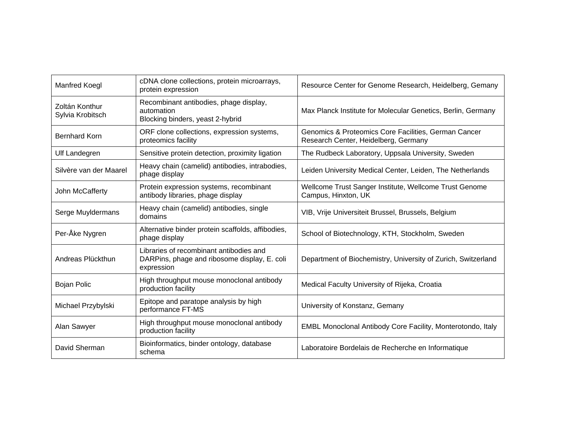| <b>Manfred Koegl</b>               | cDNA clone collections, protein microarrays,<br>protein expression                                    | Resource Center for Genome Research, Heidelberg, Gemany                                      |
|------------------------------------|-------------------------------------------------------------------------------------------------------|----------------------------------------------------------------------------------------------|
| Zoltán Konthur<br>Sylvia Krobitsch | Recombinant antibodies, phage display,<br>automation<br>Blocking binders, yeast 2-hybrid              | Max Planck Institute for Molecular Genetics, Berlin, Germany                                 |
| <b>Bernhard Korn</b>               | ORF clone collections, expression systems,<br>proteomics facility                                     | Genomics & Proteomics Core Facilities, German Cancer<br>Research Center, Heidelberg, Germany |
| <b>Ulf Landegren</b>               | Sensitive protein detection, proximity ligation                                                       | The Rudbeck Laboratory, Uppsala University, Sweden                                           |
| Silvère van der Maarel             | Heavy chain (camelid) antibodies, intrabodies,<br>phage display                                       | Leiden University Medical Center, Leiden, The Netherlands                                    |
| John McCafferty                    | Protein expression systems, recombinant<br>antibody libraries, phage display                          | Wellcome Trust Sanger Institute, Wellcome Trust Genome<br>Campus, Hinxton, UK                |
| Serge Muyldermans                  | Heavy chain (camelid) antibodies, single<br>domains                                                   | VIB, Vrije Universiteit Brussel, Brussels, Belgium                                           |
| Per-Åke Nygren                     | Alternative binder protein scaffolds, affibodies,<br>phage display                                    | School of Biotechnology, KTH, Stockholm, Sweden                                              |
| Andreas Plückthun                  | Libraries of recombinant antibodies and<br>DARPins, phage and ribosome display, E. coli<br>expression | Department of Biochemistry, University of Zurich, Switzerland                                |
| <b>Bojan Polic</b>                 | High throughput mouse monoclonal antibody<br>production facility                                      | Medical Faculty University of Rijeka, Croatia                                                |
| Michael Przybylski                 | Epitope and paratope analysis by high<br>performance FT-MS                                            | University of Konstanz, Gemany                                                               |
| Alan Sawyer                        | High throughput mouse monoclonal antibody<br>production facility                                      | EMBL Monoclonal Antibody Core Facility, Monterotondo, Italy                                  |
| David Sherman                      | Bioinformatics, binder ontology, database<br>schema                                                   | Laboratoire Bordelais de Recherche en Informatique                                           |